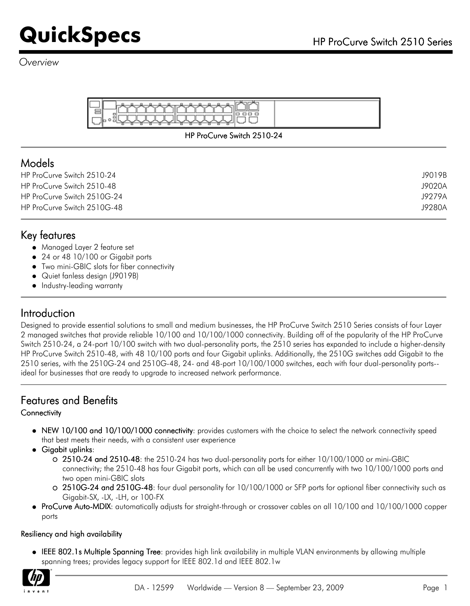*Overview*



#### HP ProCurve Switch 2510-24

### *Models*

| .                           |        |
|-----------------------------|--------|
| HP ProCurve Switch 2510-24  | J9019B |
| HP ProCurve Switch 2510-48  | J9020A |
| HP ProCurve Switch 2510G-24 | J9279A |
| HP ProCurve Switch 2510G-48 | J9280A |
|                             |        |

### Key features

- Managed Layer 2 feature set
- 24 or 48 10/100 or Gigabit ports
- Two mini-GBIC slots for fiber connectivity
- Quiet fanless design (J9019B)
- Industry-leading warranty

### Introduction

Designed to provide essential solutions to small and medium businesses, the HP ProCurve Switch 2510 Series consists of four Layer 2 managed switches that provide reliable 10/100 and 10/100/1000 connectivity. Building off of the popularity of the HP ProCurve Switch 2510-24, a 24-port 10/100 switch with two dual-personality ports, the 2510 series has expanded to include a higher-density HP ProCurve Switch 2510-48, with 48 10/100 ports and four Gigabit uplinks. Additionally, the 2510G switches add Gigabit to the 2510 series, with the 2510G-24 and 2510G-48, 24- and 48-port 10/100/1000 switches, each with four dual-personality ports- ideal for businesses that are ready to upgrade to increased network performance.

### Features and Benefits

#### **Connectivity**

- NEW 10/100 and 10/100/1000 connectivity: provides customers with the choice to select the network connectivity speed that best meets their needs, with a consistent user experience
- Gigabit uplinks:
	- 2510-24 and 2510-48: the 2510-24 has two dual-personality ports for either 10/100/1000 or mini-GBIC connectivity; the 2510-48 has four Gigabit ports, which can all be used concurrently with two 10/100/1000 ports and two open mini-GBIC slots
	- 2510G-24 and 2510G-48: four dual personality for 10/100/1000 or SFP ports for optional fiber connectivity such as Gigabit-SX, -LX, -LH, or 100-FX
- ProCurve Auto-MDIX: automatically adjusts for straight-through or crossover cables on all 10/100 and 10/100/1000 copper ports

#### Resiliency and high availability

IEEE 802.1s Multiple Spanning Tree: provides high link availability in multiple VLAN environments by allowing multiple spanning trees; provides legacy support for IEEE 802.1d and IEEE 802.1w

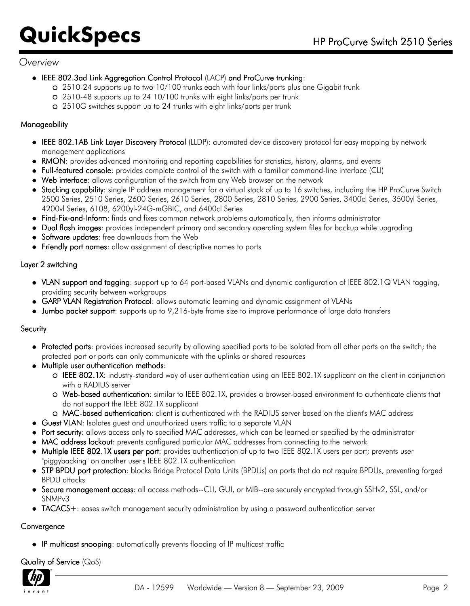#### *Overview*

- IEEE 802.3ad Link Aggregation Control Protocol (LACP) and ProCurve trunking:
	- 2510-24 supports up to two 10/100 trunks each with four links/ports plus one Gigabit trunk
	- 2510-48 supports up to 24 10/100 trunks with eight links/ports per trunk
		- 2510G switches support up to 24 trunks with eight links/ports per trunk

#### **Manageability**

- IEEE 802.1AB Link Layer Discovery Protocol (LLDP): automated device discovery protocol for easy mapping by network management applications
- RMON: provides advanced monitoring and reporting capabilities for statistics, history, alarms, and events
- Full-featured console: provides complete control of the switch with a familiar command-line interface (CLI)
- Web interface: allows configuration of the switch from any Web browser on the network
- Stacking capability: single IP address management for a virtual stack of up to 16 switches, including the HP ProCurve Switch 2500 Series, 2510 Series, 2600 Series, 2610 Series, 2800 Series, 2810 Series, 2900 Series, 3400cl Series, 3500yl Series, 4200vl Series, 6108, 6200yl-24G-mGBIC, and 6400cl Series
- Find-Fix-and-Inform: finds and fixes common network problems automatically, then informs administrator
- Dual flash images: provides independent primary and secondary operating system files for backup while upgrading
- **Software updates:** free downloads from the Web
- Friendly port names: allow assignment of descriptive names to ports

#### Layer 2 switching

- VLAN support and tagging: support up to 64 port-based VLANs and dynamic configuration of IEEE 802.1Q VLAN tagging, providing security between workgroups
- GARP VLAN Registration Protocol: allows automatic learning and dynamic assignment of VLANs
- Jumbo packet support: supports up to 9,216-byte frame size to improve performance of large data transfers

#### **Security**

- Protected ports: provides increased security by allowing specified ports to be isolated from all other ports on the switch; the protected port or ports can only communicate with the uplinks or shared resources
- Multiple user authentication methods:
	- IEEE 802.1X: industry-standard way of user authentication using an IEEE 802.1X supplicant on the client in conjunction with a RADIUS server
	- Web-based authentication: similar to IEEE 802.1X, provides a browser-based environment to authenticate clients that do not support the IEEE 802.1X supplicant
	- MAC-based authentication: client is authenticated with the RADIUS server based on the client's MAC address
- Guest VLAN: Isolates guest and unauthorized users traffic to a separate VLAN
- Port security: allows access only to specified MAC addresses, which can be learned or specified by the administrator
- MAC address lockout: prevents configured particular MAC addresses from connecting to the network
- Multiple IEEE 802.1X users per port: provides authentication of up to two IEEE 802.1X users per port; prevents user "piggybacking" on another user's IEEE 802.1X authentication
- STP BPDU port protection: blocks Bridge Protocol Data Units (BPDUs) on ports that do not require BPDUs, preventing forged BPDU attacks
- Secure management access: all access methods--CLI, GUI, or MIB--are securely encrypted through SSHv2, SSL, and/or SNMPv3
- **TACACS**+: eases switch management security administration by using a password authentication server

### **Convergence**

IP multicast snooping: automatically prevents flooding of IP multicast traffic

Quality of Service (QoS)

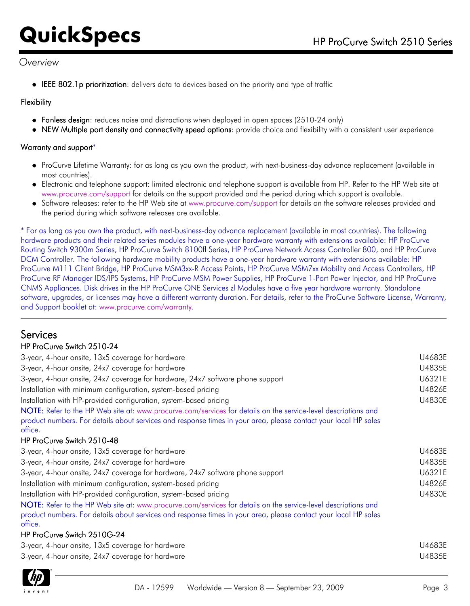### *Overview*

IEEE 802.1p prioritization: delivers data to devices based on the priority and type of traffic

#### **Flexibility**

- Fanless design: reduces noise and distractions when deployed in open spaces (2510-24 only)
- NEW Multiple port density and connectivity speed options: provide choice and flexibility with a consistent user experience

#### Warranty and support\*

- ProCurve Lifetime Warranty: for as long as you own the product, with next-business-day advance replacement (available in most countries).
- Electronic and telephone support: limited electronic and telephone support is available from HP. Refer to the HP Web site at [www.procurve.com/support](http://www.procurve.com/support) for details on the support provided and the period during which support is available.
- Software releases: refer to the HP Web site at [www.procurve.com/support](http://www.procurve.com/support) for details on the software releases provided and the period during which software releases are available.

\* For as long as you own the product, with next-business-day advance replacement (available in most countries). The following hardware products and their related series modules have a one-year hardware warranty with extensions available: HP ProCurve Routing Switch 9300m Series, HP ProCurve Switch 8100fl Series, HP ProCurve Network Access Controller 800, and HP ProCurve DCM Controller. The following hardware mobility products have a one-year hardware warranty with extensions available: HP ProCurve M111 Client Bridge, HP ProCurve MSM3xx-R Access Points, HP ProCurve MSM7xx Mobility and Access Controllers, HP ProCurve RF Manager IDS/IPS Systems, HP ProCurve MSM Power Supplies, HP ProCurve 1-Port Power Injector, and HP ProCurve CNMS Appliances. Disk drives in the HP ProCurve ONE Services zl Modules have a five year hardware warranty. Standalone software, upgrades, or licenses may have a different warranty duration. For details, refer to the ProCurve Software License, Warranty, and Support booklet at: [www.procurve.com/warranty.](http://www.procurve.com/warranty)

### Services

#### HP ProCurve Switch 2510-24

| 3-year, 4-hour onsite, 13x5 coverage for hardware                                                                                                                                                                                            | U4683E |
|----------------------------------------------------------------------------------------------------------------------------------------------------------------------------------------------------------------------------------------------|--------|
| 3-year, 4-hour onsite, 24x7 coverage for hardware                                                                                                                                                                                            | U4835E |
| 3-year, 4-hour onsite, 24x7 coverage for hardware, 24x7 software phone support                                                                                                                                                               | U6321E |
| Installation with minimum configuration, system-based pricing                                                                                                                                                                                | U4826E |
| Installation with HP-provided configuration, system-based pricing                                                                                                                                                                            | U4830E |
| NOTE: Refer to the HP Web site at: www.procurve.com/services for details on the service-level descriptions and<br>product numbers. For details about services and response times in your area, please contact your local HP sales<br>office. |        |
| HP ProCurve Switch 2510-48                                                                                                                                                                                                                   |        |
| 3-year, 4-hour onsite, 13x5 coverage for hardware                                                                                                                                                                                            | U4683E |
| 3-year, 4-hour onsite, 24x7 coverage for hardware                                                                                                                                                                                            | U4835E |
| 3-year, 4-hour onsite, 24x7 coverage for hardware, 24x7 software phone support                                                                                                                                                               | U6321E |
| Installation with minimum configuration, system-based pricing                                                                                                                                                                                | U4826E |
| Installation with HP-provided configuration, system-based pricing                                                                                                                                                                            | U4830E |
| NOTE: Refer to the HP Web site at: www.procurve.com/services for details on the service-level descriptions and<br>product numbers. For details about services and response times in your area, please contact your local HP sales<br>office. |        |
| HP ProCurve Switch 2510G-24                                                                                                                                                                                                                  |        |
| 3-year, 4-hour onsite, 13x5 coverage for hardware                                                                                                                                                                                            | U4683E |
| 3-year, 4-hour onsite, 24x7 coverage for hardware                                                                                                                                                                                            | U4835E |

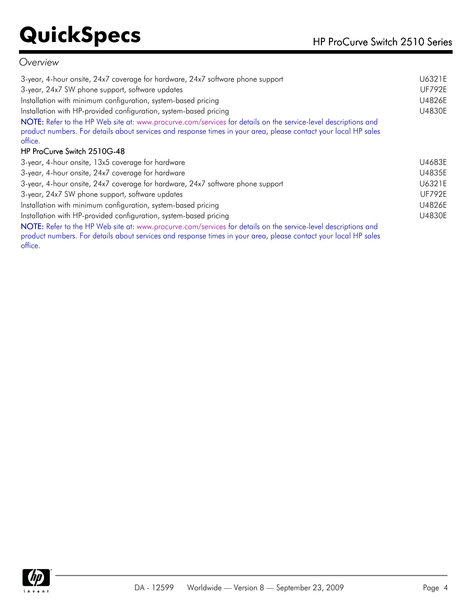### *Overview*

| 3-year, 4-hour onsite, 24x7 coverage for hardware, 24x7 software phone support                                                                                                                                                               | U6321E        |
|----------------------------------------------------------------------------------------------------------------------------------------------------------------------------------------------------------------------------------------------|---------------|
| 3-year, 24x7 SW phone support, software updates                                                                                                                                                                                              | <b>UF792E</b> |
| Installation with minimum configuration, system-based pricing                                                                                                                                                                                | U4826E        |
| Installation with HP-provided configuration, system-based pricing                                                                                                                                                                            | U4830E        |
| NOTE: Refer to the HP Web site at: www.procurve.com/services for details on the service-level descriptions and<br>product numbers. For details about services and response times in your area, please contact your local HP sales<br>office. |               |
| HP ProCurve Switch 2510G-48                                                                                                                                                                                                                  |               |
| 3-year, 4-hour onsite, 13x5 coverage for hardware                                                                                                                                                                                            | U4683E        |
| 3-year, 4-hour onsite, 24x7 coverage for hardware                                                                                                                                                                                            | U4835E        |
| 3-year, 4-hour onsite, 24x7 coverage for hardware, 24x7 software phone support                                                                                                                                                               | U6321E        |
| 3-year, 24x7 SW phone support, software updates                                                                                                                                                                                              | <b>UF792E</b> |
| Installation with minimum configuration, system-based pricing                                                                                                                                                                                | U4826E        |
| Installation with HP-provided configuration, system-based pricing                                                                                                                                                                            | U4830E        |
| NOTE: Refer to the HP Web site at www.procurve.com/senvices for details on the senvice-level descriptions and                                                                                                                                |               |

NOTE: Refer to the HP Web site at: [www.procurve.com/services](http://www.procurve.com/services) for details on the service-level descriptions and product numbers. For details about services and response times in your area, please contact your local HP sales office.

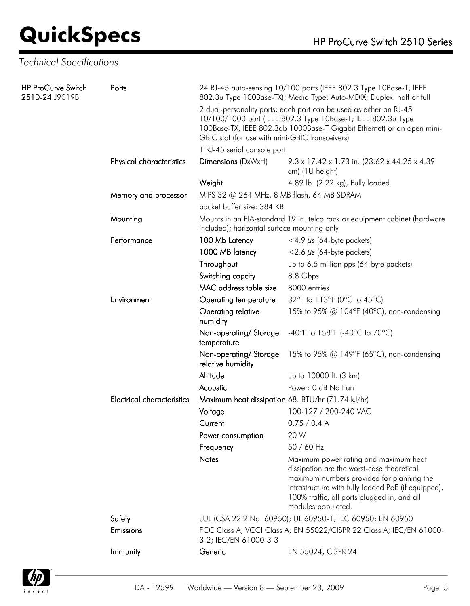| <b>Technical Specifications</b>      |                                   |                                                           |                                                                                                                                                                                                                                                              |
|--------------------------------------|-----------------------------------|-----------------------------------------------------------|--------------------------------------------------------------------------------------------------------------------------------------------------------------------------------------------------------------------------------------------------------------|
| HP ProCurve Switch<br>2510-24 J9019B | Ports                             |                                                           | 24 RJ-45 auto-sensing 10/100 ports (IEEE 802.3 Type 10Base-T, IEEE<br>802.3u Type 100Base-TX); Media Type: Auto-MDIX; Duplex: half or full                                                                                                                   |
|                                      |                                   | GBIC slot (for use with mini-GBIC transceivers)           | 2 dual-personality ports; each port can be used as either an RJ-45<br>10/100/1000 port (IEEE 802.3 Type 10Base-T; IEEE 802.3u Type<br>100Base-TX; IEEE 802.3ab 1000Base-T Gigabit Ethernet) or an open mini-                                                 |
|                                      |                                   | 1 RJ-45 serial console port                               |                                                                                                                                                                                                                                                              |
|                                      | Physical characteristics          | Dimensions (DxWxH)                                        | 9.3 x 17.42 x 1.73 in. (23.62 x 44.25 x 4.39)<br>cm) (1U height)                                                                                                                                                                                             |
|                                      |                                   | Weight                                                    | 4.89 lb. (2.22 kg), Fully loaded                                                                                                                                                                                                                             |
|                                      | Memory and processor              | MIPS 32 @ 264 MHz, 8 MB flash, 64 MB SDRAM                |                                                                                                                                                                                                                                                              |
|                                      |                                   | packet buffer size: 384 KB                                |                                                                                                                                                                                                                                                              |
|                                      | Mounting                          | included); horizontal surface mounting only               | Mounts in an EIA-standard 19 in. telco rack or equipment cabinet (hardware                                                                                                                                                                                   |
|                                      | Performance                       | 100 Mb Latency                                            | <4.9 $\mu$ s (64-byte packets)                                                                                                                                                                                                                               |
|                                      |                                   | 1000 MB latency                                           | $<$ 2.6 $\mu$ s (64-byte packets)                                                                                                                                                                                                                            |
|                                      |                                   | Throughput                                                | up to 6.5 million pps (64-byte packets)                                                                                                                                                                                                                      |
|                                      |                                   | Switching capcity                                         | 8.8 Gbps                                                                                                                                                                                                                                                     |
|                                      |                                   | MAC address table size                                    | 8000 entries                                                                                                                                                                                                                                                 |
|                                      | Environment                       | <b>Operating temperature</b>                              | 32°F to 113°F (0°C to 45°C)                                                                                                                                                                                                                                  |
|                                      |                                   | Operating relative<br>humidity                            | 15% to 95% @ 104°F (40°C), non-condensing                                                                                                                                                                                                                    |
|                                      |                                   | Non-operating/Storage<br>temperature                      | -40°F to 158°F (-40°C to 70°C)                                                                                                                                                                                                                               |
|                                      |                                   | Non-operating/Storage<br>relative humidity                | 15% to 95% @ 149°F (65°C), non-condensing                                                                                                                                                                                                                    |
|                                      |                                   | Altitude                                                  | up to 10000 ft. (3 km)                                                                                                                                                                                                                                       |
|                                      |                                   | Acoustic                                                  | Power: 0 dB No Fan                                                                                                                                                                                                                                           |
|                                      | <b>Electrical characteristics</b> |                                                           | Maximum heat dissipation 68. BTU/hr (71.74 kJ/hr)                                                                                                                                                                                                            |
|                                      |                                   |                                                           | Voltage 100-127 / 200-240 VAC                                                                                                                                                                                                                                |
|                                      |                                   | Current                                                   | 0.75 / 0.4 A                                                                                                                                                                                                                                                 |
|                                      |                                   | Power consumption                                         | 20 W                                                                                                                                                                                                                                                         |
|                                      |                                   | Frequency                                                 | 50 / 60 Hz                                                                                                                                                                                                                                                   |
|                                      |                                   | <b>Notes</b>                                              | Maximum power rating and maximum heat<br>dissipation are the worst-case theoretical<br>maximum numbers provided for planning the<br>infrastructure with fully loaded PoE (if equipped),<br>100% traffic, all ports plugged in, and all<br>modules populated. |
|                                      | Safety                            | cUL (CSA 22.2 No. 60950); UL 60950-1; IEC 60950; EN 60950 |                                                                                                                                                                                                                                                              |
|                                      | Emissions                         | 3-2; IEC/EN 61000-3-3                                     | FCC Class A; VCCI Class A; EN 55022/CISPR 22 Class A; IEC/EN 61000-                                                                                                                                                                                          |
|                                      | Immunity                          | Generic                                                   | EN 55024, CISPR 24                                                                                                                                                                                                                                           |

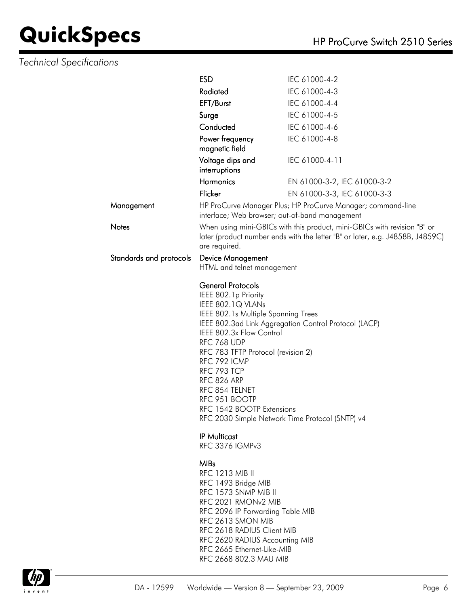### *Technical Specifications*

|                         | <b>ESD</b>                                                                                                                                                                                                                                                                                                                                                     | IEC 61000-4-2                                               |
|-------------------------|----------------------------------------------------------------------------------------------------------------------------------------------------------------------------------------------------------------------------------------------------------------------------------------------------------------------------------------------------------------|-------------------------------------------------------------|
|                         | Radiated                                                                                                                                                                                                                                                                                                                                                       | IEC 61000-4-3                                               |
|                         | EFT/Burst                                                                                                                                                                                                                                                                                                                                                      | IEC 61000-4-4                                               |
|                         | Surge                                                                                                                                                                                                                                                                                                                                                          | IEC 61000-4-5                                               |
|                         | Conducted                                                                                                                                                                                                                                                                                                                                                      | IEC 61000-4-6                                               |
|                         | Power frequency<br>magnetic field                                                                                                                                                                                                                                                                                                                              | IEC 61000-4-8                                               |
|                         | Voltage dips and<br>interruptions                                                                                                                                                                                                                                                                                                                              | IEC 61000-4-11                                              |
|                         | <b>Harmonics</b>                                                                                                                                                                                                                                                                                                                                               | EN 61000-3-2, IEC 61000-3-2                                 |
|                         | Flicker                                                                                                                                                                                                                                                                                                                                                        | EN 61000-3-3, IEC 61000-3-3                                 |
| Management              | interface; Web browser; out-of-band management                                                                                                                                                                                                                                                                                                                 | HP ProCurve Manager Plus; HP ProCurve Manager; command-line |
| <b>Notes</b>            | When using mini-GBICs with this product, mini-GBICs with revision "B" or<br>later (product number ends with the letter "B" or later, e.g. J4858B, J4859C)<br>are required.                                                                                                                                                                                     |                                                             |
| Standards and protocols | <b>Device Management</b><br>HTML and telnet management                                                                                                                                                                                                                                                                                                         |                                                             |
|                         | <b>General Protocols</b><br>IEEE 802.1p Priority<br>IEEE 802.1Q VLANs<br>IEEE 802.1s Multiple Spanning Trees<br>IEEE 802.3x Flow Control<br>RFC 768 UDP<br>RFC 783 TFTP Protocol (revision 2)<br>RFC 792 ICMP<br>RFC 793 TCP<br>RFC 826 ARP<br>RFC 854 TELNET<br>RFC 951 BOOTP<br>RFC 1542 BOOTP Extensions<br>RFC 2030 Simple Network Time Protocol (SNTP) v4 | IEEE 802.3ad Link Aggregation Control Protocol (LACP)       |
|                         | <b>IP Multicast</b><br>RFC 3376 IGMPv3                                                                                                                                                                                                                                                                                                                         |                                                             |
|                         | MIBs<br>RFC 1213 MIB II<br>RFC 1493 Bridge MIB<br>RFC 1573 SNMP MIB II<br>RFC 2021 RMON <sub>v2</sub> MIB<br>RFC 2096 IP Forwarding Table MIB<br>RFC 2613 SMON MIB<br>RFC 2618 RADIUS Client MIB<br>RFC 2620 RADIUS Accounting MIB<br>RFC 2665 Ethernet-Like-MIB<br>RFC 2668 802.3 MAU MIB                                                                     |                                                             |

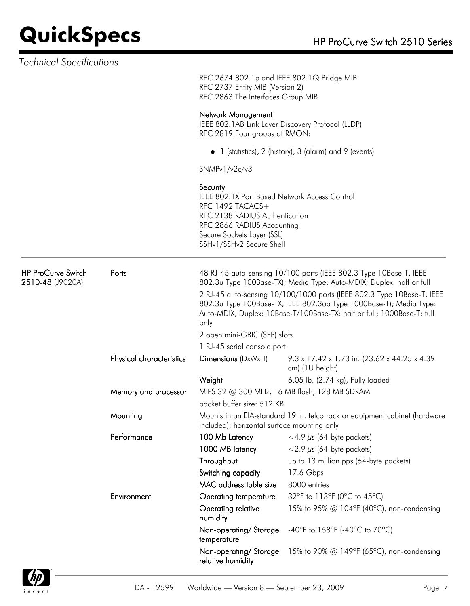| Technical Specifications                      |                          |                                                                                                                                                                                                         |                                                                                                                                                                                                                        |  |
|-----------------------------------------------|--------------------------|---------------------------------------------------------------------------------------------------------------------------------------------------------------------------------------------------------|------------------------------------------------------------------------------------------------------------------------------------------------------------------------------------------------------------------------|--|
|                                               |                          | RFC 2674 802.1p and IEEE 802.1Q Bridge MIB<br>RFC 2737 Entity MIB (Version 2)<br>RFC 2863 The Interfaces Group MIB                                                                                      |                                                                                                                                                                                                                        |  |
|                                               |                          | Network Management<br>IEEE 802.1AB Link Layer Discovery Protocol (LLDP)<br>RFC 2819 Four groups of RMON:                                                                                                |                                                                                                                                                                                                                        |  |
|                                               |                          |                                                                                                                                                                                                         | • 1 (statistics), 2 (history), 3 (alarm) and 9 (events)                                                                                                                                                                |  |
|                                               |                          | SNMPv1/v2c/v3                                                                                                                                                                                           |                                                                                                                                                                                                                        |  |
|                                               |                          |                                                                                                                                                                                                         |                                                                                                                                                                                                                        |  |
|                                               |                          | Security<br>IEEE 802.1X Port Based Network Access Control<br>RFC 1492 TACACS+<br>RFC 2138 RADIUS Authentication<br>RFC 2866 RADIUS Accounting<br>Secure Sockets Layer (SSL)<br>SSHv1/SSHv2 Secure Shell |                                                                                                                                                                                                                        |  |
| <b>HP ProCurve Switch</b><br>2510-48 (J9020A) | Ports                    | 48 RJ-45 auto-sensing 10/100 ports (IEEE 802.3 Type 10Base-T, IEEE<br>802.3u Type 100Base-TX); Media Type: Auto-MDIX; Duplex: half or full                                                              |                                                                                                                                                                                                                        |  |
|                                               |                          | only                                                                                                                                                                                                    | 2 RJ-45 auto-sensing 10/100/1000 ports (IEEE 802.3 Type 10Base-T, IEEE<br>802.3u Type 100Base-TX, IEEE 802.3ab Type 1000Base-T); Media Type:<br>Auto-MDIX; Duplex: 10Base-T/100Base-TX: half or full; 1000Base-T: full |  |
|                                               |                          | 2 open mini-GBIC (SFP) slots                                                                                                                                                                            |                                                                                                                                                                                                                        |  |
|                                               |                          | 1 RJ-45 serial console port                                                                                                                                                                             |                                                                                                                                                                                                                        |  |
|                                               | Physical characteristics | Dimensions (DxWxH)                                                                                                                                                                                      | 9.3 x 17.42 x 1.73 in. (23.62 x 44.25 x 4.39)<br>cm) (1U height)                                                                                                                                                       |  |
|                                               |                          | Weight                                                                                                                                                                                                  | 6.05 lb. (2.74 kg), Fully loaded                                                                                                                                                                                       |  |
|                                               | Memory and processor     |                                                                                                                                                                                                         | MIPS 32 @ 300 MHz, 16 MB flash, 128 MB SDRAM                                                                                                                                                                           |  |
|                                               |                          | packet buffer size: 512 KB                                                                                                                                                                              |                                                                                                                                                                                                                        |  |
|                                               | Mounting                 | Mounts in an EIA-standard 19 in. telco rack or equipment cabinet (hardware<br>included); horizontal surface mounting only                                                                               |                                                                                                                                                                                                                        |  |
|                                               | Performance              | 100 Mb Latency                                                                                                                                                                                          | $<$ 4.9 $\mu$ s (64-byte packets)                                                                                                                                                                                      |  |
|                                               |                          | 1000 MB latency                                                                                                                                                                                         | $<$ 2.9 $\mu$ s (64-byte packets)                                                                                                                                                                                      |  |
|                                               |                          | Throughput                                                                                                                                                                                              | up to 13 million pps (64-byte packets)                                                                                                                                                                                 |  |
|                                               |                          | Switching capacity                                                                                                                                                                                      | 17.6 Gbps                                                                                                                                                                                                              |  |
|                                               |                          | MAC address table size                                                                                                                                                                                  | 8000 entries                                                                                                                                                                                                           |  |
|                                               | Environment              | <b>Operating temperature</b>                                                                                                                                                                            | 32°F to 113°F (0°C to 45°C)                                                                                                                                                                                            |  |
|                                               |                          | Operating relative<br>humidity                                                                                                                                                                          | 15% to 95% @ 104°F (40°C), non-condensing                                                                                                                                                                              |  |
|                                               |                          | Non-operating/Storage<br>temperature                                                                                                                                                                    | -40°F to 158°F (-40°C to 70°C)                                                                                                                                                                                         |  |
|                                               |                          | Non-operating/Storage<br>relative humidity                                                                                                                                                              | 15% to 90% @ 149°F (65°C), non-condensing                                                                                                                                                                              |  |

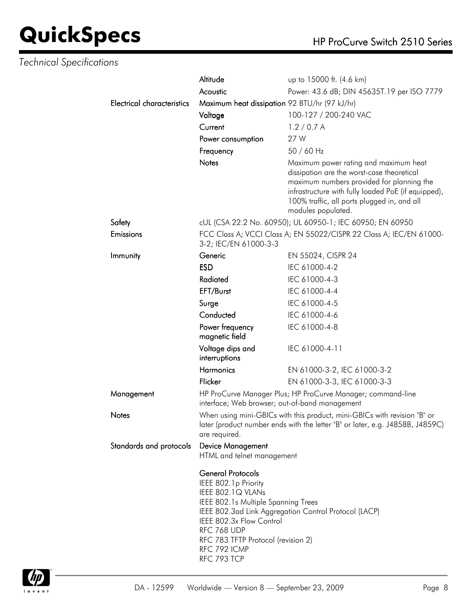### *Technical Specifications*

|                                   | Altitude                                                                                                                                                                                                                     | up to 15000 ft. (4.6 km)                                                                                                                                                                                            |  |
|-----------------------------------|------------------------------------------------------------------------------------------------------------------------------------------------------------------------------------------------------------------------------|---------------------------------------------------------------------------------------------------------------------------------------------------------------------------------------------------------------------|--|
|                                   | Acoustic                                                                                                                                                                                                                     | Power: 43.6 dB; DIN 45635T.19 per ISO 7779                                                                                                                                                                          |  |
| <b>Electrical characteristics</b> | Maximum heat dissipation 92 BTU/hr (97 kJ/hr)                                                                                                                                                                                |                                                                                                                                                                                                                     |  |
|                                   | Voltage                                                                                                                                                                                                                      | 100-127 / 200-240 VAC                                                                                                                                                                                               |  |
|                                   | Current                                                                                                                                                                                                                      | 1.2 / 0.7 A                                                                                                                                                                                                         |  |
|                                   | Power consumption                                                                                                                                                                                                            | 27 W                                                                                                                                                                                                                |  |
|                                   | Frequency                                                                                                                                                                                                                    | 50 / 60 Hz                                                                                                                                                                                                          |  |
|                                   | <b>Notes</b>                                                                                                                                                                                                                 | Maximum power rating and maximum heat                                                                                                                                                                               |  |
|                                   |                                                                                                                                                                                                                              | dissipation are the worst-case theoretical<br>maximum numbers provided for planning the<br>infrastructure with fully loaded PoE (if equipped),<br>100% traffic, all ports plugged in, and all<br>modules populated. |  |
| Safety                            |                                                                                                                                                                                                                              | cUL (CSA 22.2 No. 60950); UL 60950-1; IEC 60950; EN 60950                                                                                                                                                           |  |
| Emissions                         | FCC Class A; VCCI Class A; EN 55022/CISPR 22 Class A; IEC/EN 61000-<br>3-2; IEC/EN 61000-3-3                                                                                                                                 |                                                                                                                                                                                                                     |  |
| Immunity                          | Generic                                                                                                                                                                                                                      | EN 55024, CISPR 24                                                                                                                                                                                                  |  |
|                                   | <b>ESD</b>                                                                                                                                                                                                                   | IEC 61000-4-2                                                                                                                                                                                                       |  |
|                                   | Radiated                                                                                                                                                                                                                     | IEC 61000-4-3                                                                                                                                                                                                       |  |
|                                   | EFT/Burst                                                                                                                                                                                                                    | IEC 61000-4-4                                                                                                                                                                                                       |  |
|                                   | Surge                                                                                                                                                                                                                        | IEC 61000-4-5                                                                                                                                                                                                       |  |
|                                   | Conducted                                                                                                                                                                                                                    | IEC 61000-4-6                                                                                                                                                                                                       |  |
|                                   | Power frequency<br>magnetic field                                                                                                                                                                                            | IEC 61000-4-8                                                                                                                                                                                                       |  |
|                                   | Voltage dips and<br>interruptions                                                                                                                                                                                            | IEC 61000-4-11                                                                                                                                                                                                      |  |
|                                   | Harmonics                                                                                                                                                                                                                    | EN 61000-3-2, IEC 61000-3-2                                                                                                                                                                                         |  |
|                                   | Flicker                                                                                                                                                                                                                      | EN 61000-3-3, IEC 61000-3-3                                                                                                                                                                                         |  |
| Management                        | interface; Web browser; out-of-band management                                                                                                                                                                               | HP ProCurve Manager Plus; HP ProCurve Manager; command-line                                                                                                                                                         |  |
| <b>Notes</b>                      | When using mini-GBICs with this product, mini-GBICs with revision "B" or<br>later (product number ends with the letter "B" or later, e.g. J4858B, J4859C)<br>are required.                                                   |                                                                                                                                                                                                                     |  |
| Standards and protocols           | Device Management<br>HTML and telnet management                                                                                                                                                                              |                                                                                                                                                                                                                     |  |
|                                   | <b>General Protocols</b><br>IEEE 802.1p Priority<br>IEEE 802.1Q VLANs<br>IEEE 802.1s Multiple Spanning Trees<br>IEEE 802.3x Flow Control<br>RFC 768 UDP<br>RFC 783 TFTP Protocol (revision 2)<br>RFC 792 ICMP<br>RFC 793 TCP | IEEE 802.3ad Link Aggregation Control Protocol (LACP)                                                                                                                                                               |  |

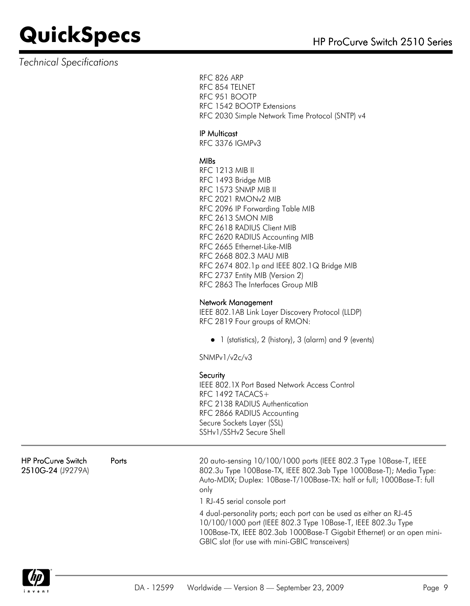### *Technical Specifications*

RFC 826 ARP RFC 854 TELNET RFC 951 BOOTP RFC 1542 BOOTP Extensions RFC 2030 Simple Network Time Protocol (SNTP) v4

#### IP Multicast

RFC 3376 IGMPv3

#### MIBs

RFC 1213 MIB II RFC 1493 Bridge MIB RFC 1573 SNMP MIB II RFC 2021 RMONv2 MIB RFC 2096 IP Forwarding Table MIB RFC 2613 SMON MIB RFC 2618 RADIUS Client MIB RFC 2620 RADIUS Accounting MIB RFC 2665 Ethernet-Like-MIB RFC 2668 802.3 MAU MIB RFC 2674 802.1p and IEEE 802.1Q Bridge MIB RFC 2737 Entity MIB (Version 2) RFC 2863 The Interfaces Group MIB

#### Network Management

IEEE 802.1AB Link Layer Discovery Protocol (LLDP) RFC 2819 Four groups of RMON:

1 (statistics), 2 (history), 3 (alarm) and 9 (events)

SNMPv1/v2c/v3

#### **Security**

IEEE 802.1X Port Based Network Access Control RFC 1492 TACACS $+$ RFC 2138 RADIUS Authentication RFC 2866 RADIUS Accounting Secure Sockets Layer (SSL) SSHv1/SSHv2 Secure Shell

HP ProCurve Switch 2510G-24 (J9279A) Ports 20 auto-sensing 10/100/1000 ports (IEEE 802.3 Type 10Base-T, IEEE 802.3u Type 100Base-TX, IEEE 802.3ab Type 1000Base-T); Media Type: Auto-MDIX; Duplex: 10Base-T/100Base-TX: half or full; 1000Base-T: full only

1 RJ-45 serial console port

4 dual-personality ports; each port can be used as either an RJ-45 10/100/1000 port (IEEE 802.3 Type 10Base-T, IEEE 802.3u Type 100Base-TX, IEEE 802.3ab 1000Base-T Gigabit Ethernet) or an open mini-GBIC slot (for use with mini-GBIC transceivers)

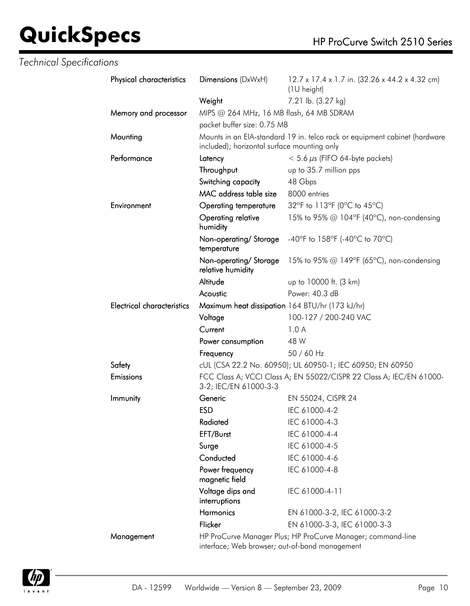| <b>Technical Specifications</b> |                                   |                                                 |                                                                            |
|---------------------------------|-----------------------------------|-------------------------------------------------|----------------------------------------------------------------------------|
|                                 | Physical characteristics          | Dimensions (DxWxH)                              | $12.7 \times 17.4 \times 1.7$ in. (32.26 x 44.2 x 4.32 cm)<br>(1U height)  |
|                                 |                                   | Weight                                          | 7.21 lb. (3.27 kg)                                                         |
|                                 | Memory and processor              | MIPS @ 264 MHz, 16 MB flash, 64 MB SDRAM        |                                                                            |
|                                 |                                   | packet buffer size: 0.75 MB                     |                                                                            |
|                                 | Mounting                          | included); horizontal surface mounting only     | Mounts in an EIA-standard 19 in. telco rack or equipment cabinet (hardware |
|                                 | Performance                       | Latency                                         | $<$ 5.6 $\mu$ s (FIFO 64-byte packets)                                     |
|                                 |                                   | Throughput                                      | up to 35.7 million pps                                                     |
|                                 |                                   | Switching capacity                              | 48 Gbps                                                                    |
|                                 |                                   | MAC address table size                          | 8000 entries                                                               |
|                                 | Environment                       | <b>Operating temperature</b>                    | 32°F to 113°F (0°C to 45°C)                                                |
|                                 |                                   | Operating relative<br>humidity                  | 15% to 95% @ 104°F (40°C), non-condensing                                  |
|                                 |                                   | Non-operating/ Storage<br>temperature           | -40°F to 158°F (-40°C to 70°C)                                             |
|                                 |                                   | Non-operating/Storage<br>relative humidity      | 15% to 95% @ 149°F (65°C), non-condensing                                  |
|                                 |                                   | Altitude                                        | up to 10000 ft. (3 km)                                                     |
|                                 |                                   | Acoustic                                        | Power: 40.3 dB                                                             |
|                                 | <b>Electrical characteristics</b> | Maximum heat dissipation 164 BTU/hr (173 kJ/hr) |                                                                            |
|                                 |                                   | Voltage                                         | 100-127 / 200-240 VAC                                                      |
|                                 |                                   | Current                                         | 1.0A                                                                       |
|                                 |                                   | Power consumption                               | 48 W                                                                       |
|                                 |                                   | Frequency                                       | 50 / 60 Hz                                                                 |
|                                 | Safety                            |                                                 | cUL (CSA 22.2 No. 60950); UL 60950-1; IEC 60950; EN 60950                  |
|                                 | Emissions                         | 3-2; IEC/EN 61000-3-3                           | FCC Class A; VCCI Class A; EN 55022/CISPR 22 Class A; IEC/EN 61000-        |
|                                 | Immunity                          | Generic                                         | EN 55024, CISPR 24                                                         |
|                                 |                                   | <b>ESD</b>                                      | IEC 61000-4-2                                                              |
|                                 |                                   | Radiated                                        | IEC 61000-4-3                                                              |
|                                 |                                   | EFT/Burst                                       | IEC 61000-4-4                                                              |
|                                 |                                   | Surge                                           | IEC 61000-4-5                                                              |
|                                 |                                   | Conducted                                       | IEC 61000-4-6                                                              |
|                                 |                                   | Power frequency<br>magnetic field               | IEC 61000-4-8                                                              |
|                                 |                                   | Voltage dips and<br>interruptions               | IEC 61000-4-11                                                             |
|                                 |                                   | <b>Harmonics</b>                                | EN 61000-3-2, IEC 61000-3-2                                                |
|                                 |                                   | Flicker                                         | EN 61000-3-3, IEC 61000-3-3                                                |
|                                 | Management                        | interface; Web browser; out-of-band management  | HP ProCurve Manager Plus; HP ProCurve Manager; command-line                |

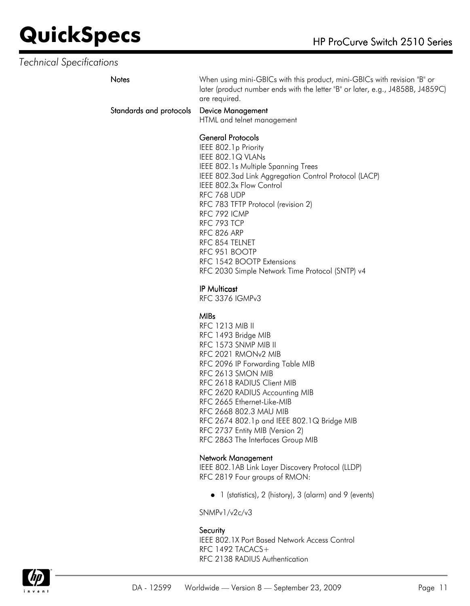## *Technical Specifications*

Notes When using mini-GBICs with this product, mini-GBICs with revision "B" or later (product number ends with the letter "B" or later, e.g., J4858B, J4859C) are required.

### Standards and protocols Device Management

HTML and telnet management

#### General Protocols

IEEE 802.1p Priority IEEE 802.1Q VLANs IEEE 802.1s Multiple Spanning Trees IEEE 802.3ad Link Aggregation Control Protocol (LACP) IEEE 802.3x Flow Control RFC 768 UDP RFC 783 TFTP Protocol (revision 2) RFC 792 ICMP RFC 793 TCP RFC 826 ARP RFC 854 TELNET RFC 951 BOOTP RFC 1542 BOOTP Extensions RFC 2030 Simple Network Time Protocol (SNTP) v4

#### IP Multicast

RFC 3376 IGMPv3

#### MIBs

RFC 1213 MIB II RFC 1493 Bridge MIB RFC 1573 SNMP MIB II RFC 2021 RMONv2 MIB RFC 2096 IP Forwarding Table MIB RFC 2613 SMON MIB RFC 2618 RADIUS Client MIB RFC 2620 RADIUS Accounting MIB RFC 2665 Ethernet-Like-MIB RFC 2668 802.3 MAU MIB RFC 2674 802.1p and IEEE 802.1Q Bridge MIB RFC 2737 Entity MIB (Version 2) RFC 2863 The Interfaces Group MIB

#### Network Management

IEEE 802.1AB Link Layer Discovery Protocol (LLDP) RFC 2819 Four groups of RMON:

1 (statistics), 2 (history), 3 (alarm) and 9 (events)

#### SNMPv1/v2c/v3

#### **Security**

IEEE 802.1X Port Based Network Access Control RFC 1492 TACACS+ RFC 2138 RADIUS Authentication

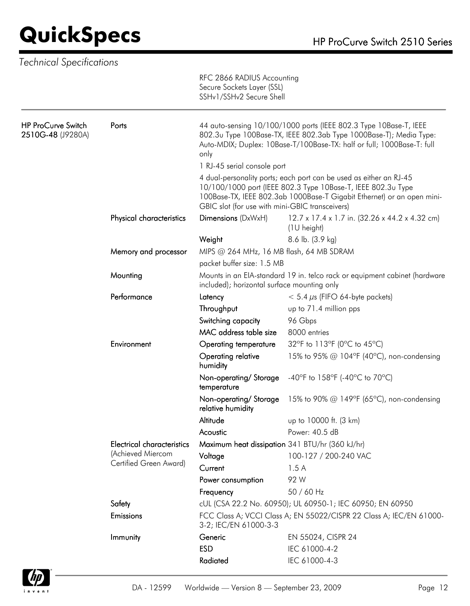# **QuickSpecs**

|  | HP ProCurve Switch 2510 Series |
|--|--------------------------------|
|--|--------------------------------|

| <b>Technical Specifications</b>         |                                   |                                                                                                                                                                                                                           |                                                                                                                                                                                                                                                                 |  |
|-----------------------------------------|-----------------------------------|---------------------------------------------------------------------------------------------------------------------------------------------------------------------------------------------------------------------------|-----------------------------------------------------------------------------------------------------------------------------------------------------------------------------------------------------------------------------------------------------------------|--|
|                                         |                                   | RFC 2866 RADIUS Accounting<br>Secure Sockets Layer (SSL)<br>SSHv1/SSHv2 Secure Shell                                                                                                                                      |                                                                                                                                                                                                                                                                 |  |
| HP ProCurve Switch<br>2510G-48 (J9280A) | Ports                             | 44 auto-sensing 10/100/1000 ports (IEEE 802.3 Type 10Base-T, IEEE<br>802.3u Type 100Base-TX, IEEE 802.3ab Type 1000Base-T); Media Type:<br>Auto-MDIX; Duplex: 10Base-T/100Base-TX: half or full; 1000Base-T: full<br>only |                                                                                                                                                                                                                                                                 |  |
|                                         |                                   | 1 RJ-45 serial console port                                                                                                                                                                                               |                                                                                                                                                                                                                                                                 |  |
|                                         |                                   |                                                                                                                                                                                                                           | 4 dual-personality ports; each port can be used as either an RJ-45<br>10/100/1000 port (IEEE 802.3 Type 10Base-T, IEEE 802.3u Type<br>100Base-TX, IEEE 802.3ab 1000Base-T Gigabit Ethernet) or an open mini-<br>GBIC slot (for use with mini-GBIC transceivers) |  |
|                                         | Physical characteristics          | Dimensions (DxWxH)                                                                                                                                                                                                        | 12.7 x 17.4 x 1.7 in. (32.26 x 44.2 x 4.32 cm)<br>(1U height)                                                                                                                                                                                                   |  |
|                                         |                                   | Weight                                                                                                                                                                                                                    | 8.6 lb. (3.9 kg)                                                                                                                                                                                                                                                |  |
|                                         | Memory and processor              | MIPS @ 264 MHz, 16 MB flash, 64 MB SDRAM                                                                                                                                                                                  |                                                                                                                                                                                                                                                                 |  |
|                                         |                                   | packet buffer size: 1.5 MB                                                                                                                                                                                                |                                                                                                                                                                                                                                                                 |  |
|                                         | Mounting                          | Mounts in an EIA-standard 19 in. telco rack or equipment cabinet (hardware<br>included); horizontal surface mounting only                                                                                                 |                                                                                                                                                                                                                                                                 |  |
|                                         | Performance                       | Latency                                                                                                                                                                                                                   | $< 5.4 \mu s$ (FIFO 64-byte packets)                                                                                                                                                                                                                            |  |
|                                         |                                   | Throughput                                                                                                                                                                                                                | up to 71.4 million pps                                                                                                                                                                                                                                          |  |
|                                         |                                   | Switching capacity                                                                                                                                                                                                        | 96 Gbps                                                                                                                                                                                                                                                         |  |
|                                         |                                   | MAC address table size                                                                                                                                                                                                    | 8000 entries                                                                                                                                                                                                                                                    |  |
|                                         | Environment                       | <b>Operating temperature</b>                                                                                                                                                                                              | 32°F to 113°F (0°C to 45°C)                                                                                                                                                                                                                                     |  |
|                                         |                                   | Operating relative<br>humidity                                                                                                                                                                                            | 15% to 95% @ 104°F (40°C), non-condensing                                                                                                                                                                                                                       |  |
|                                         |                                   | Non-operating/Storage<br>temperature                                                                                                                                                                                      | -40°F to 158°F (-40°C to 70°C)                                                                                                                                                                                                                                  |  |
|                                         |                                   | Non-operating/Storage<br>relative humidity                                                                                                                                                                                | 15% to 90% @ 149°F (65°C), non-condensing                                                                                                                                                                                                                       |  |
|                                         |                                   | Altitude                                                                                                                                                                                                                  | up to 10000 ft. (3 km)                                                                                                                                                                                                                                          |  |
|                                         |                                   | Acoustic                                                                                                                                                                                                                  | Power: 40.5 dB                                                                                                                                                                                                                                                  |  |
|                                         | <b>Electrical characteristics</b> |                                                                                                                                                                                                                           | Maximum heat dissipation 341 BTU/hr (360 kJ/hr)                                                                                                                                                                                                                 |  |
|                                         | (Achieved Miercom                 | Voltage                                                                                                                                                                                                                   | 100-127 / 200-240 VAC                                                                                                                                                                                                                                           |  |
|                                         | Certified Green Award)            | Current                                                                                                                                                                                                                   | 1.5A                                                                                                                                                                                                                                                            |  |
|                                         |                                   | Power consumption                                                                                                                                                                                                         | 92 W                                                                                                                                                                                                                                                            |  |
|                                         |                                   | Frequency                                                                                                                                                                                                                 | 50 / 60 Hz                                                                                                                                                                                                                                                      |  |
|                                         | Safety                            | cUL (CSA 22.2 No. 60950); UL 60950-1; IEC 60950; EN 60950                                                                                                                                                                 |                                                                                                                                                                                                                                                                 |  |
|                                         | Emissions                         | 3-2; IEC/EN 61000-3-3                                                                                                                                                                                                     | FCC Class A; VCCI Class A; EN 55022/CISPR 22 Class A; IEC/EN 61000-                                                                                                                                                                                             |  |
|                                         | Immunity                          | Generic                                                                                                                                                                                                                   | EN 55024, CISPR 24                                                                                                                                                                                                                                              |  |
|                                         |                                   | <b>ESD</b>                                                                                                                                                                                                                | IEC 61000-4-2                                                                                                                                                                                                                                                   |  |
|                                         |                                   | Radiated                                                                                                                                                                                                                  | IEC 61000-4-3                                                                                                                                                                                                                                                   |  |

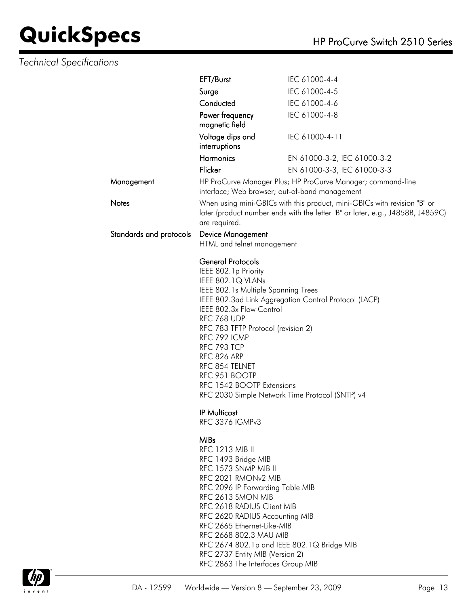### *Technical Specifications*

|                         | EFT/Burst                                                                                                                                                                                                                                                                                                                                                                                                                      | IEC 61000-4-4                                         |  |
|-------------------------|--------------------------------------------------------------------------------------------------------------------------------------------------------------------------------------------------------------------------------------------------------------------------------------------------------------------------------------------------------------------------------------------------------------------------------|-------------------------------------------------------|--|
|                         | Surge                                                                                                                                                                                                                                                                                                                                                                                                                          | IEC 61000-4-5                                         |  |
|                         | Conducted                                                                                                                                                                                                                                                                                                                                                                                                                      | IEC 61000-4-6                                         |  |
|                         | Power frequency<br>magnetic field                                                                                                                                                                                                                                                                                                                                                                                              | IEC 61000-4-8                                         |  |
|                         | Voltage dips and<br>interruptions                                                                                                                                                                                                                                                                                                                                                                                              | IEC 61000-4-11                                        |  |
|                         | Harmonics                                                                                                                                                                                                                                                                                                                                                                                                                      | EN 61000-3-2, IEC 61000-3-2                           |  |
|                         | Flicker                                                                                                                                                                                                                                                                                                                                                                                                                        | EN 61000-3-3, IEC 61000-3-3                           |  |
| Management              | HP ProCurve Manager Plus; HP ProCurve Manager; command-line<br>interface; Web browser; out-of-band management                                                                                                                                                                                                                                                                                                                  |                                                       |  |
| <b>Notes</b>            | When using mini-GBICs with this product, mini-GBICs with revision "B" or<br>later (product number ends with the letter "B" or later, e.g., J4858B, J4859C)<br>are required.                                                                                                                                                                                                                                                    |                                                       |  |
| Standards and protocols | <b>Device Management</b>                                                                                                                                                                                                                                                                                                                                                                                                       |                                                       |  |
|                         | HTML and telnet management                                                                                                                                                                                                                                                                                                                                                                                                     |                                                       |  |
|                         | <b>General Protocols</b><br>IEEE 802.1p Priority<br>IEEE 802.1Q VLANs<br>IEEE 802.1s Multiple Spanning Trees<br>IEEE 802.3x Flow Control<br>RFC 768 UDP<br>RFC 783 TFTP Protocol (revision 2)<br>RFC 792 ICMP<br>RFC 793 TCP<br>RFC 826 ARP<br>RFC 854 TELNET<br>RFC 951 BOOTP<br>RFC 1542 BOOTP Extensions<br>RFC 2030 Simple Network Time Protocol (SNTP) v4                                                                 | IEEE 802.3ad Link Aggregation Control Protocol (LACP) |  |
|                         | <b>IP Multicast</b><br>RFC 3376 IGMPv3                                                                                                                                                                                                                                                                                                                                                                                         |                                                       |  |
|                         | <b>MIBs</b><br><b>RFC 1213 MIB II</b><br>RFC 1493 Bridge MIB<br>RFC 1573 SNMP MIB II<br>RFC 2021 RMON <sub>v2</sub> MIB<br>RFC 2096 IP Forwarding Table MIB<br>RFC 2613 SMON MIB<br>RFC 2618 RADIUS Client MIB<br>RFC 2620 RADIUS Accounting MIB<br>RFC 2665 Ethernet-Like-MIB<br>RFC 2668 802.3 MAU MIB<br>RFC 2674 802.1p and IEEE 802.1Q Bridge MIB<br>RFC 2737 Entity MIB (Version 2)<br>RFC 2863 The Interfaces Group MIB |                                                       |  |

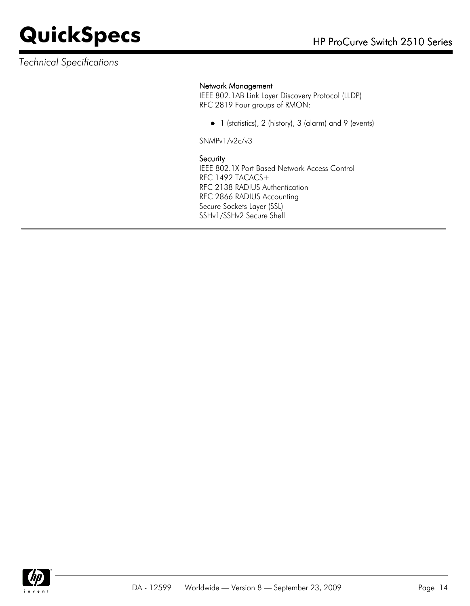### *Technical Specifications*

#### Network Management

IEEE 802.1AB Link Layer Discovery Protocol (LLDP) RFC 2819 Four groups of RMON:

1 (statistics), 2 (history), 3 (alarm) and 9 (events)

SNMPv1/v2c/v3

#### **Security**

IEEE 802.1X Port Based Network Access Control RFC 1492 TACACS+ RFC 2138 RADIUS Authentication RFC 2866 RADIUS Accounting Secure Sockets Layer (SSL) SSHv1/SSHv2 Secure Shell